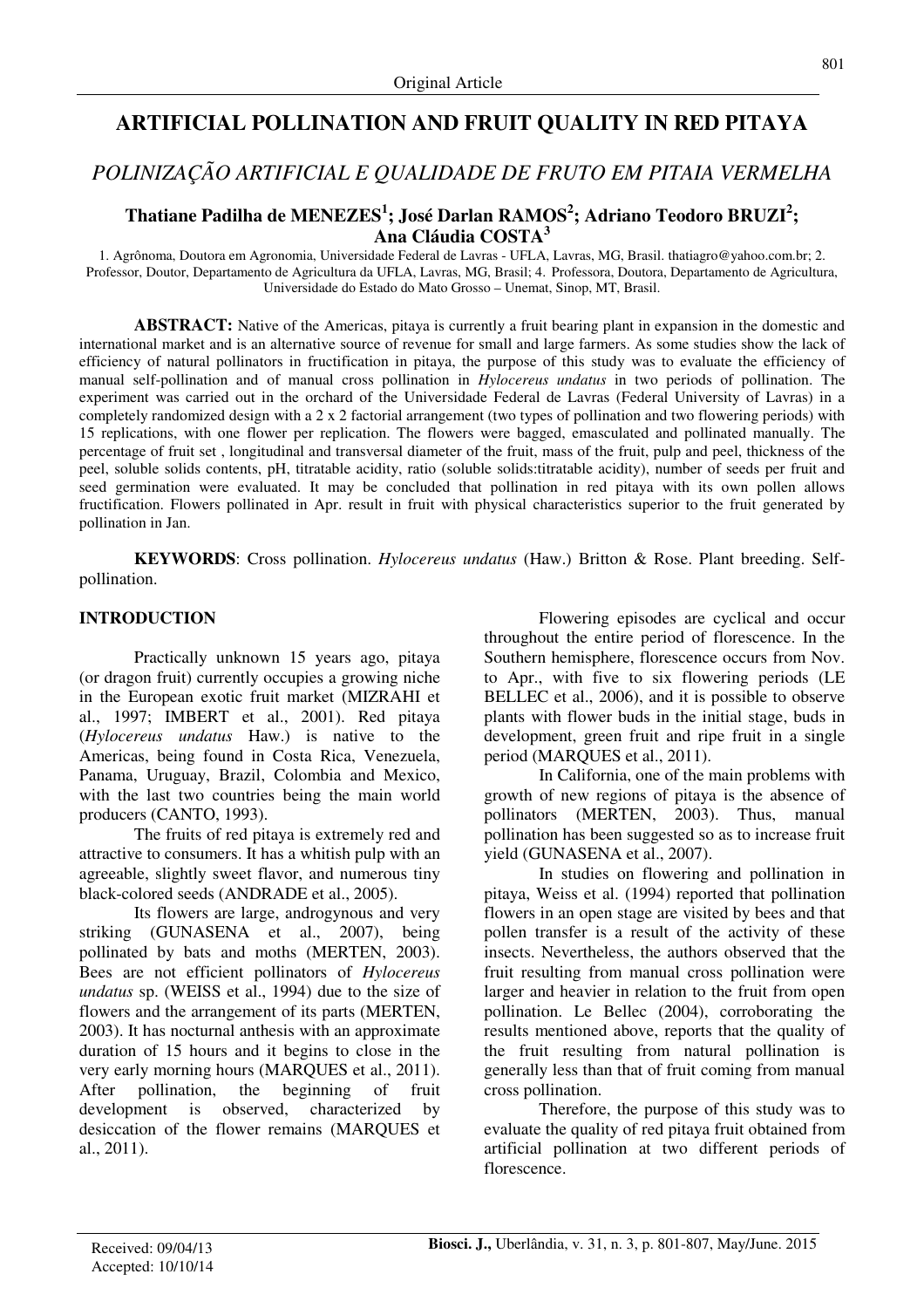# **ARTIFICIAL POLLINATION AND FRUIT QUALITY IN RED PITAYA**

# *POLINIZAÇÃO ARTIFICIAL E QUALIDADE DE FRUTO EM PITAIA VERMELHA*

## **Thatiane Padilha de MENEZES<sup>1</sup> ; José Darlan RAMOS<sup>2</sup> ; Adriano Teodoro BRUZI<sup>2</sup> ; Ana Cláudia COSTA<sup>3</sup>**

1. Agrônoma, Doutora em Agronomia, Universidade Federal de Lavras - UFLA, Lavras, MG, Brasil. thatiagro@yahoo.com.br; 2. Professor, Doutor, Departamento de Agricultura da UFLA, Lavras, MG, Brasil; 4. Professora, Doutora, Departamento de Agricultura, Universidade do Estado do Mato Grosso – Unemat, Sinop, MT, Brasil.

**ABSTRACT:** Native of the Americas, pitaya is currently a fruit bearing plant in expansion in the domestic and international market and is an alternative source of revenue for small and large farmers. As some studies show the lack of efficiency of natural pollinators in fructification in pitaya, the purpose of this study was to evaluate the efficiency of manual self-pollination and of manual cross pollination in *Hylocereus undatus* in two periods of pollination. The experiment was carried out in the orchard of the Universidade Federal de Lavras (Federal University of Lavras) in a completely randomized design with a 2 x 2 factorial arrangement (two types of pollination and two flowering periods) with 15 replications, with one flower per replication. The flowers were bagged, emasculated and pollinated manually. The percentage of fruit set , longitudinal and transversal diameter of the fruit, mass of the fruit, pulp and peel, thickness of the peel, soluble solids contents, pH, titratable acidity, ratio (soluble solids:titratable acidity), number of seeds per fruit and seed germination were evaluated. It may be concluded that pollination in red pitaya with its own pollen allows fructification. Flowers pollinated in Apr. result in fruit with physical characteristics superior to the fruit generated by pollination in Jan.

**KEYWORDS**: Cross pollination. *Hylocereus undatus* (Haw.) Britton & Rose. Plant breeding. Selfpollination.

### **INTRODUCTION**

Practically unknown 15 years ago, pitaya (or dragon fruit) currently occupies a growing niche in the European exotic fruit market (MIZRAHI et al., 1997; IMBERT et al., 2001). Red pitaya (*Hylocereus undatus* Haw.) is native to the Americas, being found in Costa Rica, Venezuela, Panama, Uruguay, Brazil, Colombia and Mexico, with the last two countries being the main world producers (CANTO, 1993).

The fruits of red pitaya is extremely red and attractive to consumers. It has a whitish pulp with an agreeable, slightly sweet flavor, and numerous tiny black-colored seeds (ANDRADE et al., 2005).

Its flowers are large, androgynous and very striking (GUNASENA et al., 2007), being pollinated by bats and moths (MERTEN, 2003). Bees are not efficient pollinators of *Hylocereus undatus* sp. (WEISS et al., 1994) due to the size of flowers and the arrangement of its parts (MERTEN, 2003). It has nocturnal anthesis with an approximate duration of 15 hours and it begins to close in the very early morning hours (MARQUES et al., 2011). After pollination, the beginning of fruit development is observed, characterized by desiccation of the flower remains (MARQUES et al., 2011).

 Flowering episodes are cyclical and occur throughout the entire period of florescence. In the Southern hemisphere, florescence occurs from Nov. to Apr., with five to six flowering periods (LE BELLEC et al., 2006), and it is possible to observe plants with flower buds in the initial stage, buds in development, green fruit and ripe fruit in a single period (MARQUES et al., 2011).

 In California, one of the main problems with growth of new regions of pitaya is the absence of pollinators (MERTEN, 2003). Thus, manual pollination has been suggested so as to increase fruit yield (GUNASENA et al., 2007).

In studies on flowering and pollination in pitaya, Weiss et al. (1994) reported that pollination flowers in an open stage are visited by bees and that pollen transfer is a result of the activity of these insects. Nevertheless, the authors observed that the fruit resulting from manual cross pollination were larger and heavier in relation to the fruit from open pollination. Le Bellec (2004), corroborating the results mentioned above, reports that the quality of the fruit resulting from natural pollination is generally less than that of fruit coming from manual cross pollination.

 Therefore, the purpose of this study was to evaluate the quality of red pitaya fruit obtained from artificial pollination at two different periods of florescence.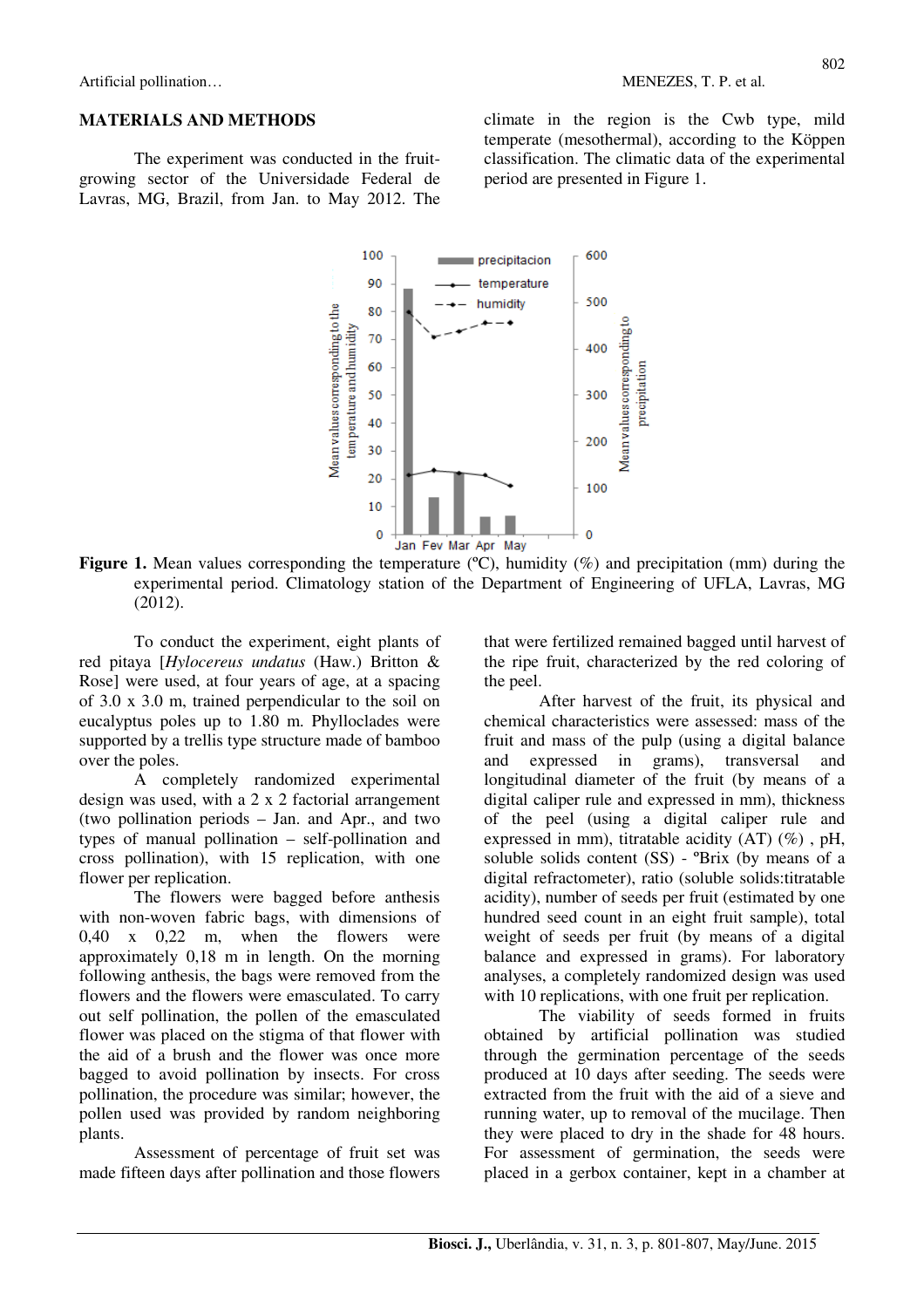#### **MATERIALS AND METHODS**

The experiment was conducted in the fruitgrowing sector of the Universidade Federal de Lavras, MG, Brazil, from Jan. to May 2012. The climate in the region is the Cwb type, mild temperate (mesothermal), according to the Köppen classification. The climatic data of the experimental period are presented in Figure 1.



**Figure 1.** Mean values corresponding the temperature (°C), humidity (%) and precipitation (mm) during the experimental period. Climatology station of the Department of Engineering of UFLA, Lavras, MG (2012).

To conduct the experiment, eight plants of red pitaya [*Hylocereus undatus* (Haw.) Britton & Rose] were used, at four years of age, at a spacing of 3.0 x 3.0 m, trained perpendicular to the soil on eucalyptus poles up to 1.80 m. Phylloclades were supported by a trellis type structure made of bamboo over the poles.

A completely randomized experimental design was used, with a 2 x 2 factorial arrangement (two pollination periods – Jan. and Apr., and two types of manual pollination – self-pollination and cross pollination), with 15 replication, with one flower per replication.

The flowers were bagged before anthesis with non-woven fabric bags, with dimensions of 0,40 x 0,22 m, when the flowers were approximately 0,18 m in length. On the morning following anthesis, the bags were removed from the flowers and the flowers were emasculated. To carry out self pollination, the pollen of the emasculated flower was placed on the stigma of that flower with the aid of a brush and the flower was once more bagged to avoid pollination by insects. For cross pollination, the procedure was similar; however, the pollen used was provided by random neighboring plants.

Assessment of percentage of fruit set was made fifteen days after pollination and those flowers

that were fertilized remained bagged until harvest of the ripe fruit, characterized by the red coloring of the peel.

After harvest of the fruit, its physical and chemical characteristics were assessed: mass of the fruit and mass of the pulp (using a digital balance and expressed in grams), transversal and longitudinal diameter of the fruit (by means of a digital caliper rule and expressed in mm), thickness of the peel (using a digital caliper rule and expressed in mm), titratable acidity (AT) (%) , pH, soluble solids content (SS) - ºBrix (by means of a digital refractometer), ratio (soluble solids:titratable acidity), number of seeds per fruit (estimated by one hundred seed count in an eight fruit sample), total weight of seeds per fruit (by means of a digital balance and expressed in grams). For laboratory analyses, a completely randomized design was used with 10 replications, with one fruit per replication.

The viability of seeds formed in fruits obtained by artificial pollination was studied through the germination percentage of the seeds produced at 10 days after seeding. The seeds were extracted from the fruit with the aid of a sieve and running water, up to removal of the mucilage. Then they were placed to dry in the shade for 48 hours. For assessment of germination, the seeds were placed in a gerbox container, kept in a chamber at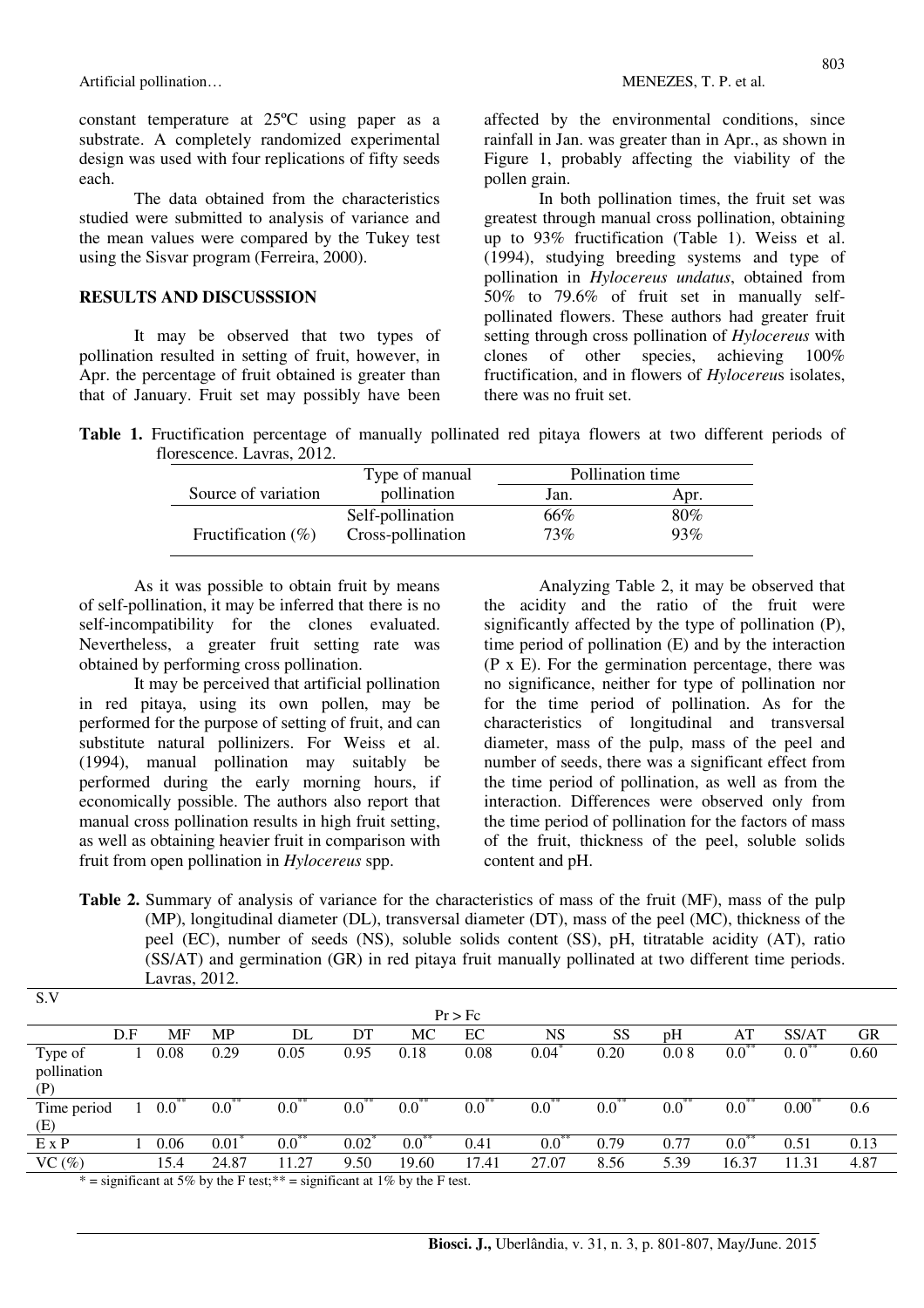constant temperature at 25ºC using paper as a substrate. A completely randomized experimental design was used with four replications of fifty seeds each.

The data obtained from the characteristics studied were submitted to analysis of variance and the mean values were compared by the Tukey test using the Sisvar program (Ferreira, 2000).

#### **RESULTS AND DISCUSSSION**

It may be observed that two types of pollination resulted in setting of fruit, however, in Apr. the percentage of fruit obtained is greater than that of January. Fruit set may possibly have been affected by the environmental conditions, since rainfall in Jan. was greater than in Apr., as shown in Figure 1, probably affecting the viability of the pollen grain.

In both pollination times, the fruit set was greatest through manual cross pollination, obtaining up to 93% fructification (Table 1). Weiss et al. (1994), studying breeding systems and type of pollination in *Hylocereus undatus*, obtained from 50% to 79.6% of fruit set in manually selfpollinated flowers. These authors had greater fruit setting through cross pollination of *Hylocereus* with clones of other species, achieving 100% fructification, and in flowers of *Hylocereu*s isolates, there was no fruit set.

**Table 1.** Fructification percentage of manually pollinated red pitaya flowers at two different periods of florescence. Lavras, 2012.

|                       | Type of manual    | Pollination time |      |  |
|-----------------------|-------------------|------------------|------|--|
| Source of variation   | pollination       | Jan.             | Apr. |  |
|                       | Self-pollination  | 66%              | 80%  |  |
| Fructification $(\%)$ | Cross-pollination | 73%              | 93%  |  |

As it was possible to obtain fruit by means of self-pollination, it may be inferred that there is no self-incompatibility for the clones evaluated. Nevertheless, a greater fruit setting rate was obtained by performing cross pollination.

It may be perceived that artificial pollination in red pitaya, using its own pollen, may be performed for the purpose of setting of fruit, and can substitute natural pollinizers. For Weiss et al. (1994), manual pollination may suitably be performed during the early morning hours, if economically possible. The authors also report that manual cross pollination results in high fruit setting, as well as obtaining heavier fruit in comparison with fruit from open pollination in *Hylocereus* spp.

S.V

Analyzing Table 2, it may be observed that the acidity and the ratio of the fruit were significantly affected by the type of pollination (P), time period of pollination (E) and by the interaction (P x E). For the germination percentage, there was no significance, neither for type of pollination nor for the time period of pollination. As for the characteristics of longitudinal and transversal diameter, mass of the pulp, mass of the peel and number of seeds, there was a significant effect from the time period of pollination, as well as from the interaction. Differences were observed only from the time period of pollination for the factors of mass of the fruit, thickness of the peel, soluble solids content and pH.

**Table 2.** Summary of analysis of variance for the characteristics of mass of the fruit (MF), mass of the pulp (MP), longitudinal diameter (DL), transversal diameter (DT), mass of the peel (MC), thickness of the peel (EC), number of seeds (NS), soluble solids content (SS), pH, titratable acidity (AT), ratio (SS/AT) and germination (GR) in red pitaya fruit manually pollinated at two different time periods. Lavras, 2012.

|              |     |             |             |                                                                                                  |                  |                       | Pr > Fc       |               |               |             |             |                  |      |
|--------------|-----|-------------|-------------|--------------------------------------------------------------------------------------------------|------------------|-----------------------|---------------|---------------|---------------|-------------|-------------|------------------|------|
|              | D.F | MF          | MP          | DL                                                                                               | DT               | МC                    | EC            | <b>NS</b>     | SS            | pH          | AT          | SS/AT            | GR   |
| Type of      |     | 0.08        | 0.29        | 0.05                                                                                             | 0.95             | 0.18                  | 0.08          | 0.04          | 0.20          | 0.08        | $0.0^{**}$  | $0.0^{**}$       | 0.60 |
| pollination  |     |             |             |                                                                                                  |                  |                       |               |               |               |             |             |                  |      |
| (P)          |     |             |             |                                                                                                  |                  |                       |               |               |               |             |             |                  |      |
| Time period  |     | $0.0^\circ$ | $0.0^\circ$ | $0.0\,$                                                                                          | $0.0^\circ$      | 0.0                   | $0.0^{\circ}$ | $0.0^{\circ}$ | $0.0^{\circ}$ | $0.0^\circ$ | $0.0^\circ$ | $0.00^{\degree}$ | 0.6  |
| (E)          |     |             |             |                                                                                                  |                  |                       |               |               |               |             |             |                  |      |
| $E \times P$ |     | 0.06        | 0.01        | $0.0^{**}$                                                                                       | $0.02^{\degree}$ | $\overline{0.0}^{**}$ | 0.41          | $0.0^{**}$    | 0.79          | 0.77        | $0.0^{**}$  | 0.51             | 0.13 |
| $VC$ (%)     |     | 15.4        | 24.87       | 11.27                                                                                            | 9.50             | 19.60                 | 17.41         | 27.07         | 8.56          | 5.39        | 16.37       | 11.31            | 4.87 |
|              |     |             |             | $* =$ significant at $50^\circ$ , by the E tost $** =$ significant at $10^\circ$ , by the E tost |                  |                       |               |               |               |             |             |                  |      |

\* = significant at 5% by the F test; \*\* = significant at 1% by the F test.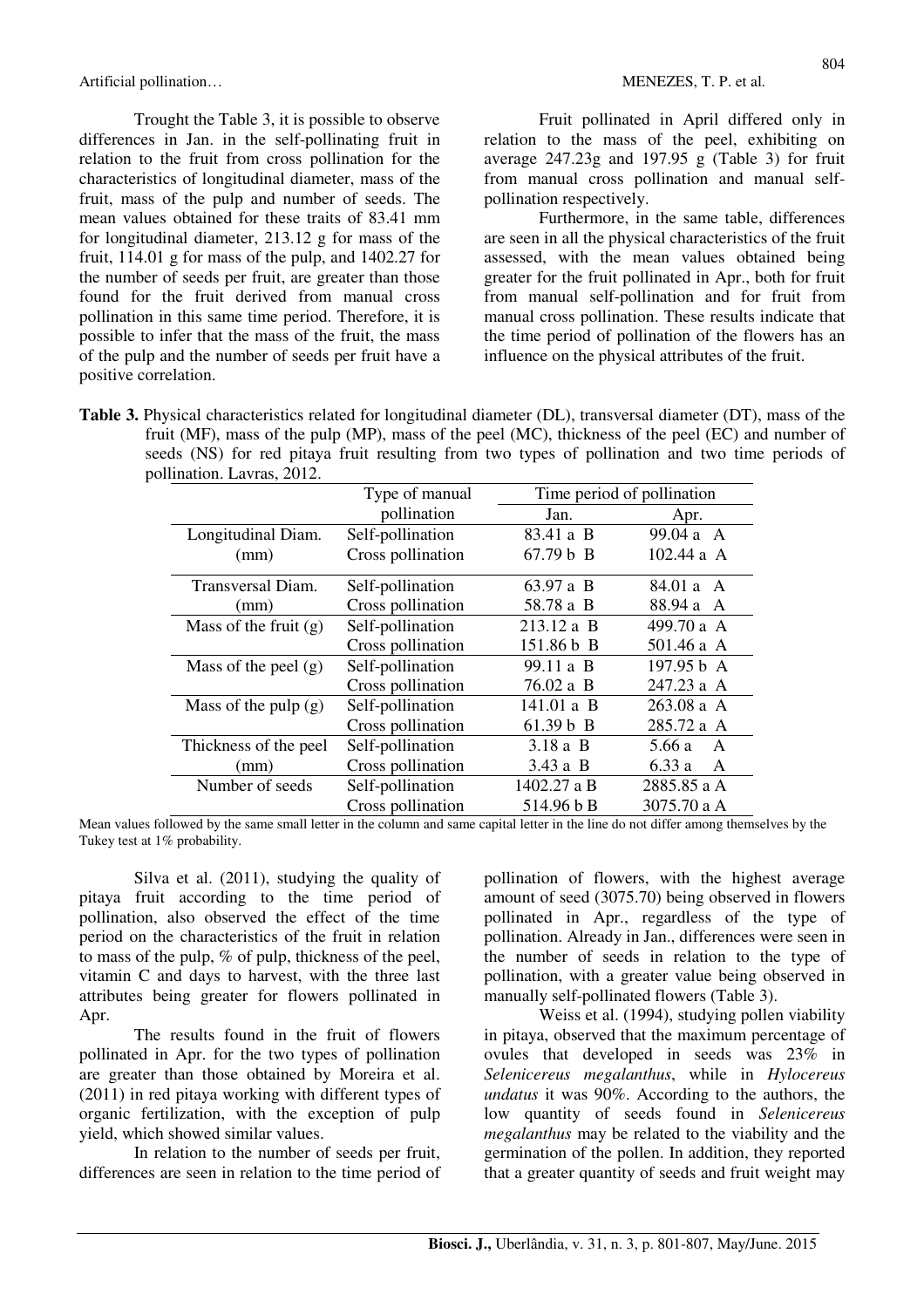Trought the Table 3, it is possible to observe differences in Jan. in the self-pollinating fruit in relation to the fruit from cross pollination for the characteristics of longitudinal diameter, mass of the fruit, mass of the pulp and number of seeds. The mean values obtained for these traits of 83.41 mm for longitudinal diameter, 213.12 g for mass of the fruit, 114.01 g for mass of the pulp, and 1402.27 for the number of seeds per fruit, are greater than those found for the fruit derived from manual cross pollination in this same time period. Therefore, it is possible to infer that the mass of the fruit, the mass of the pulp and the number of seeds per fruit have a positive correlation.

 Fruit pollinated in April differed only in relation to the mass of the peel, exhibiting on average 247.23g and 197.95 g (Table 3) for fruit from manual cross pollination and manual selfpollination respectively.

 Furthermore, in the same table, differences are seen in all the physical characteristics of the fruit assessed, with the mean values obtained being greater for the fruit pollinated in Apr., both for fruit from manual self-pollination and for fruit from manual cross pollination. These results indicate that the time period of pollination of the flowers has an influence on the physical attributes of the fruit.

**Table 3.** Physical characteristics related for longitudinal diameter (DL), transversal diameter (DT), mass of the fruit (MF), mass of the pulp (MP), mass of the peel (MC), thickness of the peel (EC) and number of seeds (NS) for red pitaya fruit resulting from two types of pollination and two time periods of pollination. Lavras, 2012.

|                         | Type of manual    |             | Time period of pollination |
|-------------------------|-------------------|-------------|----------------------------|
|                         | pollination       | Jan.        | Apr.                       |
| Longitudinal Diam.      | Self-pollination  | 83.41 a B   | 99.04 a A                  |
| (mm)                    | Cross pollination | 67.79 b B   | 102.44a A                  |
| Transversal Diam.       | Self-pollination  | 63.97 a B   | 84.01 a A                  |
| (mm)                    | Cross pollination | 58.78 a B   | 88.94 a A                  |
| Mass of the fruit $(g)$ | Self-pollination  | 213.12 a B  | 499.70 a A                 |
|                         | Cross pollination | 151.86 b B  | 501.46 a A                 |
| Mass of the peel $(g)$  | Self-pollination  | 99.11 a B   | 197.95 b A                 |
|                         | Cross pollination | 76.02 a B   | 247.23 a A                 |
| Mass of the pulp $(g)$  | Self-pollination  | 141.01 a B  | $263.08a$ A                |
|                         | Cross pollination | 61.39 b B   | 285.72 a A                 |
| Thickness of the peel   | Self-pollination  | $3.18a$ B   | 5.66 a<br>A                |
| (mm)                    | Cross pollination | 3.43 a B    | 6.33a<br>A                 |
| Number of seeds         | Self-pollination  | 1402.27 a B | 2885.85 a A                |
|                         | Cross pollination | 514.96 b B  | 3075.70 a A                |

Mean values followed by the same small letter in the column and same capital letter in the line do not differ among themselves by the Tukey test at 1% probability.

Silva et al. (2011), studying the quality of pitaya fruit according to the time period of pollination, also observed the effect of the time period on the characteristics of the fruit in relation to mass of the pulp, % of pulp, thickness of the peel, vitamin C and days to harvest, with the three last attributes being greater for flowers pollinated in Apr.

 The results found in the fruit of flowers pollinated in Apr. for the two types of pollination are greater than those obtained by Moreira et al. (2011) in red pitaya working with different types of organic fertilization, with the exception of pulp yield, which showed similar values.

 In relation to the number of seeds per fruit, differences are seen in relation to the time period of pollination of flowers, with the highest average amount of seed (3075.70) being observed in flowers pollinated in Apr., regardless of the type of pollination. Already in Jan., differences were seen in the number of seeds in relation to the type of pollination, with a greater value being observed in manually self-pollinated flowers (Table 3).

 Weiss et al. (1994), studying pollen viability in pitaya, observed that the maximum percentage of ovules that developed in seeds was 23% in *Selenicereus megalanthus*, while in *Hylocereus undatus* it was 90%. According to the authors, the low quantity of seeds found in *Selenicereus megalanthus* may be related to the viability and the germination of the pollen. In addition, they reported that a greater quantity of seeds and fruit weight may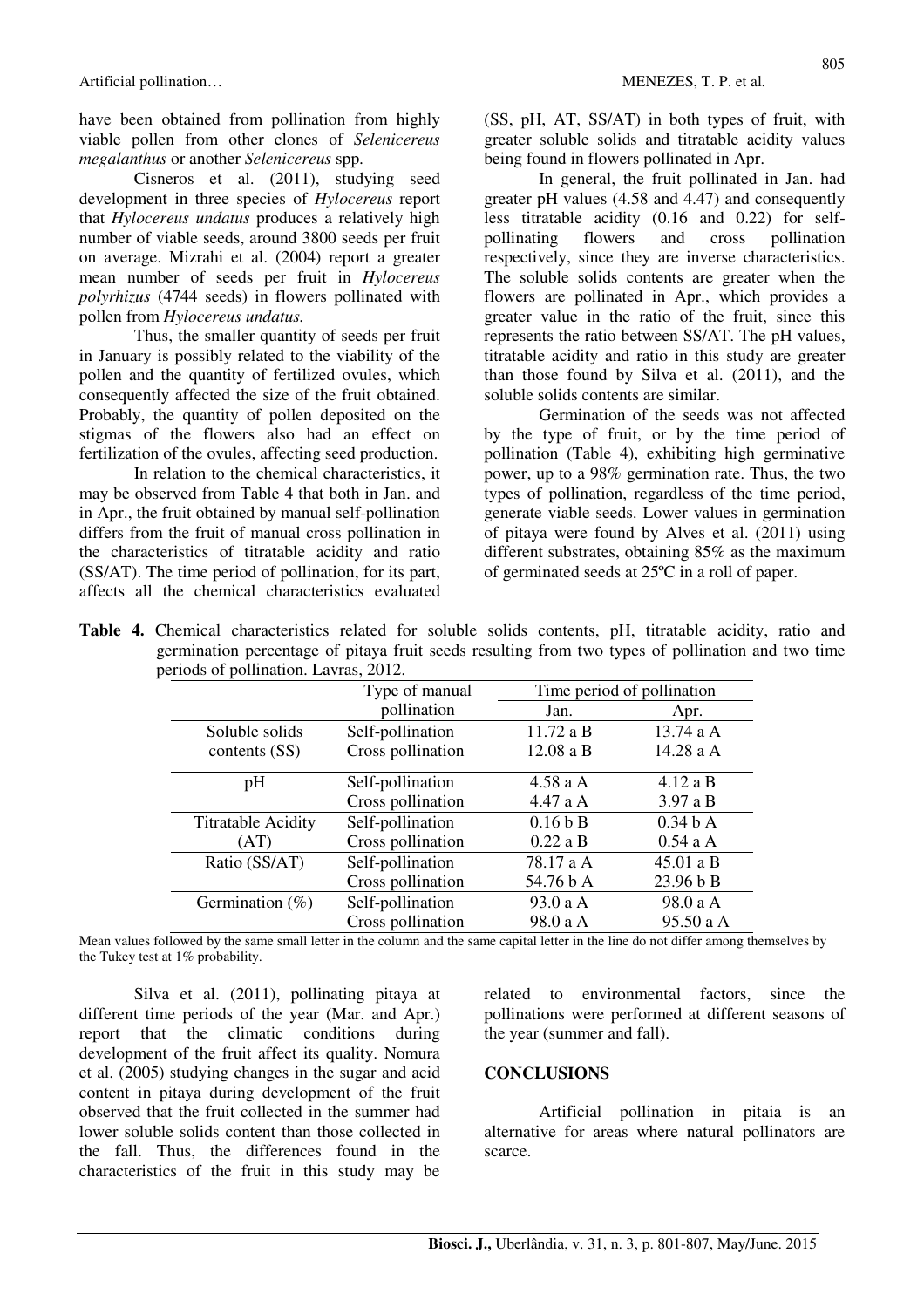have been obtained from pollination from highly viable pollen from other clones of *Selenicereus megalanthus* or another *Selenicereus* spp.

Cisneros et al. (2011), studying seed development in three species of *Hylocereus* report that *Hylocereus undatus* produces a relatively high number of viable seeds, around 3800 seeds per fruit on average. Mizrahi et al. (2004) report a greater mean number of seeds per fruit in *Hylocereus polyrhizus* (4744 seeds) in flowers pollinated with pollen from *Hylocereus undatus.*

Thus, the smaller quantity of seeds per fruit in January is possibly related to the viability of the pollen and the quantity of fertilized ovules, which consequently affected the size of the fruit obtained. Probably, the quantity of pollen deposited on the stigmas of the flowers also had an effect on fertilization of the ovules, affecting seed production.

 In relation to the chemical characteristics, it may be observed from Table 4 that both in Jan. and in Apr., the fruit obtained by manual self-pollination differs from the fruit of manual cross pollination in the characteristics of titratable acidity and ratio (SS/AT). The time period of pollination, for its part, affects all the chemical characteristics evaluated (SS, pH, AT, SS/AT) in both types of fruit, with greater soluble solids and titratable acidity values being found in flowers pollinated in Apr.

 In general, the fruit pollinated in Jan. had greater pH values  $(4.58 \text{ and } 4.47)$  and consequently less titratable acidity (0.16 and 0.22) for selfpollinating flowers and cross pollination respectively, since they are inverse characteristics. The soluble solids contents are greater when the flowers are pollinated in Apr., which provides a greater value in the ratio of the fruit, since this represents the ratio between SS/AT. The pH values, titratable acidity and ratio in this study are greater than those found by Silva et al. (2011), and the soluble solids contents are similar.

 Germination of the seeds was not affected by the type of fruit, or by the time period of pollination (Table 4), exhibiting high germinative power, up to a 98% germination rate. Thus, the two types of pollination, regardless of the time period, generate viable seeds. Lower values in germination of pitaya were found by Alves et al. (2011) using different substrates, obtaining 85% as the maximum of germinated seeds at 25ºC in a roll of paper.

|  | Table 4. Chemical characteristics related for soluble solids contents, pH, titratable acidity, ratio and |  |  |  |  |  |
|--|----------------------------------------------------------------------------------------------------------|--|--|--|--|--|
|  | germination percentage of pitaya fruit seeds resulting from two types of pollination and two time        |  |  |  |  |  |
|  | periods of pollination. Lavras, 2012.                                                                    |  |  |  |  |  |

|                           | Type of manual    | Time period of pollination |                     |  |
|---------------------------|-------------------|----------------------------|---------------------|--|
|                           | pollination       | Jan.                       | Apr.                |  |
| Soluble solids            | Self-pollination  | 11.72 a B                  | 13.74 a A           |  |
| contents $(SS)$           | Cross pollination | 12.08 a B                  | 14.28 a A           |  |
| pH                        | Self-pollination  | 4.58 a A                   | 4.12 a B            |  |
|                           | Cross pollination | 4.47 a A                   | $3.97$ a B          |  |
| <b>Titratable Acidity</b> | Self-pollination  | 0.16 b B                   | 0.34 <sub>b</sub> A |  |
| (AT)                      | Cross pollination | $0.22a$ B                  | $0.54$ a A          |  |
| Ratio (SS/AT)             | Self-pollination  | 78.17 a A                  | 45.01 a B           |  |
|                           | Cross pollination | 54.76 b A                  | 23.96 b B           |  |
| Germination $(\%)$        | Self-pollination  | 93.0 a A                   | 98.0 a A            |  |
|                           | Cross pollination | 98.0 a A                   | 95.50 a A           |  |

Mean values followed by the same small letter in the column and the same capital letter in the line do not differ among themselves by the Tukey test at 1% probability.

Silva et al. (2011), pollinating pitaya at different time periods of the year (Mar. and Apr.) report that the climatic conditions during development of the fruit affect its quality. Nomura et al. (2005) studying changes in the sugar and acid content in pitaya during development of the fruit observed that the fruit collected in the summer had lower soluble solids content than those collected in the fall. Thus, the differences found in the characteristics of the fruit in this study may be

related to environmental factors, since the pollinations were performed at different seasons of the year (summer and fall).

#### **CONCLUSIONS**

Artificial pollination in pitaia is an alternative for areas where natural pollinators are scarce.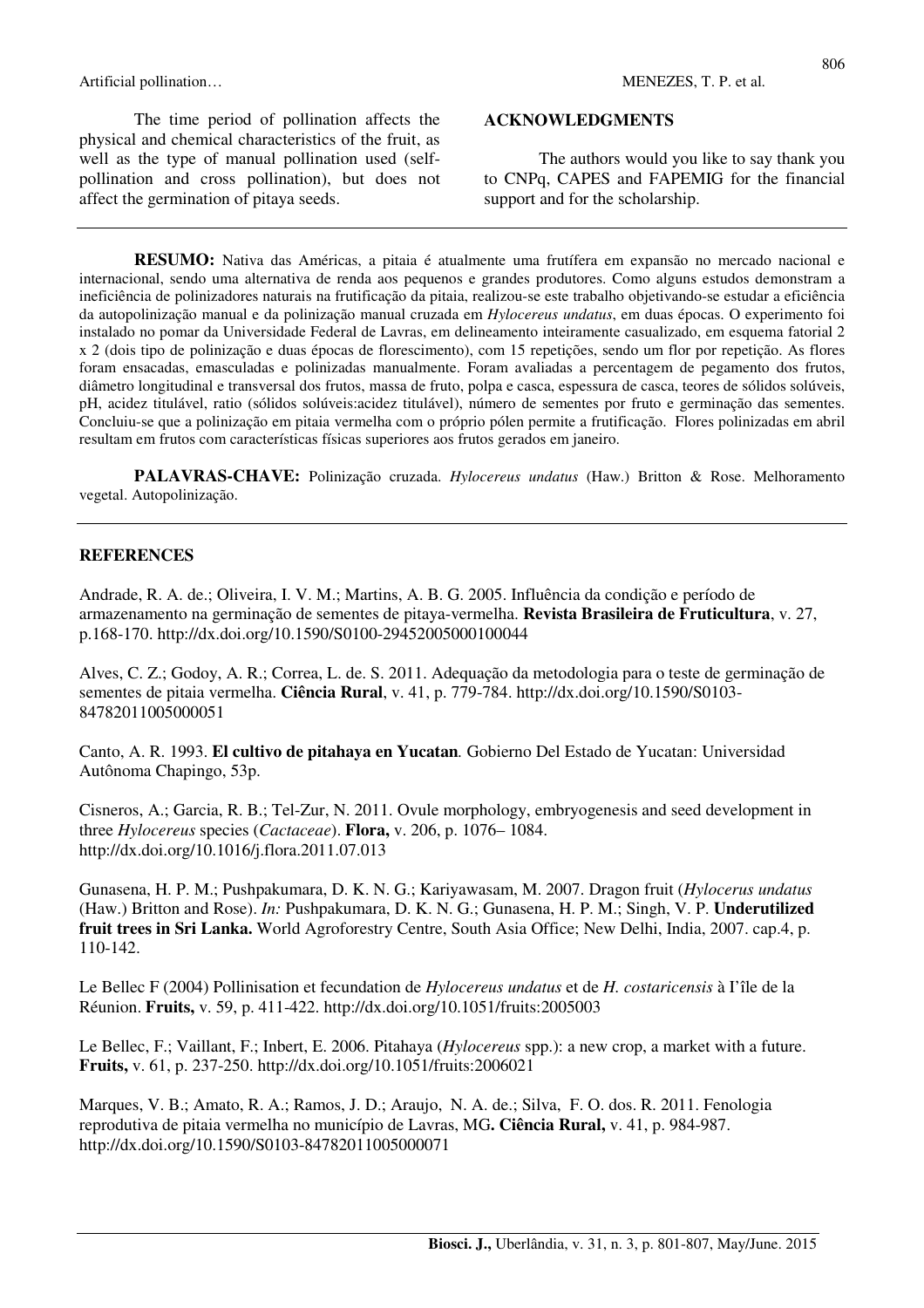Artificial pollination… and the contract of the contract of the MENEZES, T. P. et al.

The time period of pollination affects the physical and chemical characteristics of the fruit, as well as the type of manual pollination used (selfpollination and cross pollination), but does not affect the germination of pitaya seeds.

#### **ACKNOWLEDGMENTS**

The authors would you like to say thank you to CNPq, CAPES and FAPEMIG for the financial support and for the scholarship.

**RESUMO:** Nativa das Américas, a pitaia é atualmente uma frutífera em expansão no mercado nacional e internacional, sendo uma alternativa de renda aos pequenos e grandes produtores. Como alguns estudos demonstram a ineficiência de polinizadores naturais na frutificação da pitaia, realizou-se este trabalho objetivando-se estudar a eficiência da autopolinização manual e da polinização manual cruzada em *Hylocereus undatus*, em duas épocas. O experimento foi instalado no pomar da Universidade Federal de Lavras, em delineamento inteiramente casualizado, em esquema fatorial 2 x 2 (dois tipo de polinização e duas épocas de florescimento), com 15 repetições, sendo um flor por repetição. As flores foram ensacadas, emasculadas e polinizadas manualmente. Foram avaliadas a percentagem de pegamento dos frutos, diâmetro longitudinal e transversal dos frutos, massa de fruto, polpa e casca, espessura de casca, teores de sólidos solúveis, pH, acidez titulável, ratio (sólidos solúveis:acidez titulável), número de sementes por fruto e germinação das sementes. Concluiu-se que a polinização em pitaia vermelha com o próprio pólen permite a frutificação. Flores polinizadas em abril resultam em frutos com características físicas superiores aos frutos gerados em janeiro.

**PALAVRAS-CHAVE:** Polinização cruzada. *Hylocereus undatus* (Haw.) Britton & Rose. Melhoramento vegetal. Autopolinização.

#### **REFERENCES**

Andrade, R. A. de.; Oliveira, I. V. M.; Martins, A. B. G. 2005. Influência da condição e período de armazenamento na germinação de sementes de pitaya-vermelha. **Revista Brasileira de Fruticultura**, v. 27, p.168-170. http://dx.doi.org/10.1590/S0100-29452005000100044

Alves, C. Z.; Godoy, A. R.; Correa, L. de. S. 2011. Adequação da metodologia para o teste de germinação de sementes de pitaia vermelha. **Ciência Rural**, v. 41, p. 779-784. http://dx.doi.org/10.1590/S0103- 84782011005000051

Canto, A. R. 1993. **El cultivo de pitahaya en Yucatan***.* Gobierno Del Estado de Yucatan: Universidad Autônoma Chapingo, 53p.

Cisneros, A.; Garcia, R. B.; Tel-Zur, N. 2011. Ovule morphology, embryogenesis and seed development in three *Hylocereus* species (*Cactaceae*). **Flora,** v. 206, p. 1076– 1084. http://dx.doi.org/10.1016/j.flora.2011.07.013

Gunasena, H. P. M.; Pushpakumara, D. K. N. G.; Kariyawasam, M. 2007. Dragon fruit (*Hylocerus undatus* (Haw.) Britton and Rose). *In:* Pushpakumara, D. K. N. G.; Gunasena, H. P. M.; Singh, V. P. **Underutilized fruit trees in Sri Lanka.** World Agroforestry Centre, South Asia Office; New Delhi, India, 2007. cap.4, p. 110-142.

Le Bellec F (2004) Pollinisation et fecundation de *Hylocereus undatus* et de *H. costaricensis* à I'île de la Réunion. **Fruits,** v. 59, p. 411-422. http://dx.doi.org/10.1051/fruits:2005003

Le Bellec, F.; Vaillant, F.; Inbert, E. 2006. Pitahaya (*Hylocereus* spp.): a new crop, a market with a future. **Fruits,** v. 61, p. 237-250. http://dx.doi.org/10.1051/fruits:2006021

Marques, V. B.; Amato, R. A.; Ramos, J. D.; Araujo, N. A. de.; Silva, F. O. dos. R. 2011. Fenologia reprodutiva de pitaia vermelha no município de Lavras, MG**. Ciência Rural,** v. 41, p. 984-987. http://dx.doi.org/10.1590/S0103-84782011005000071